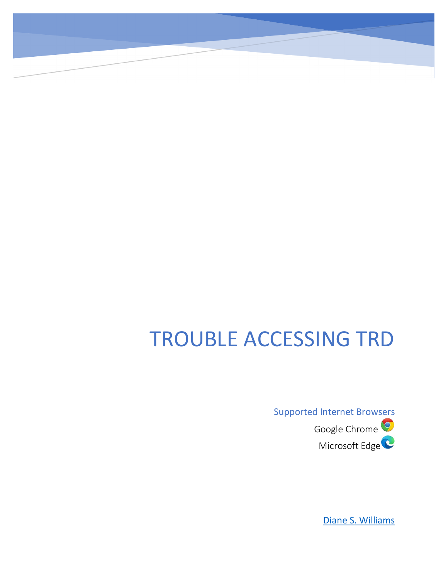# TROUBLE ACCESSING TRD

Supported Internet Browsers Google Chrome<sup>O</sup> Microsoft Edge<sup>C</sup>

[Diane S. Williams](mailto:trd@firstam.com?subject=Trouble%20Accessing%20TRD)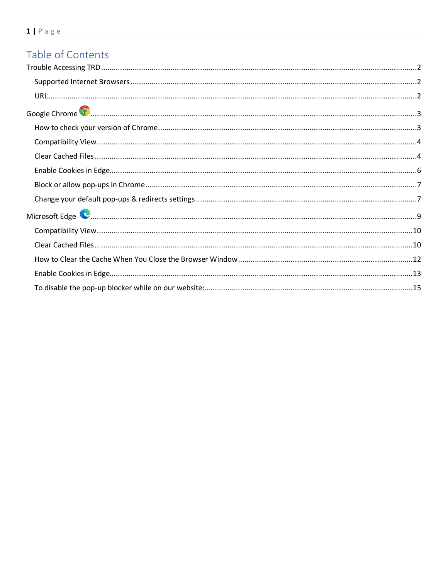# Table of Contents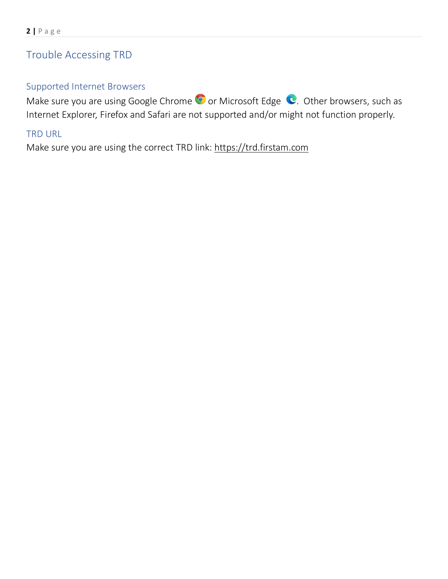# <span id="page-2-0"></span>Trouble Accessing TRD

# <span id="page-2-1"></span>Supported Internet Browsers

Make sure you are using Google Chrome  $\bullet$  or Microsoft Edge  $\bullet$ . Other browsers, such as Internet Explorer, Firefox and Safari are not supported and/or might not function properly.

# <span id="page-2-2"></span>TRD URL

Make sure you are using the correct TRD link: [https://trd.firstam.com](https://trd.firstam.com/)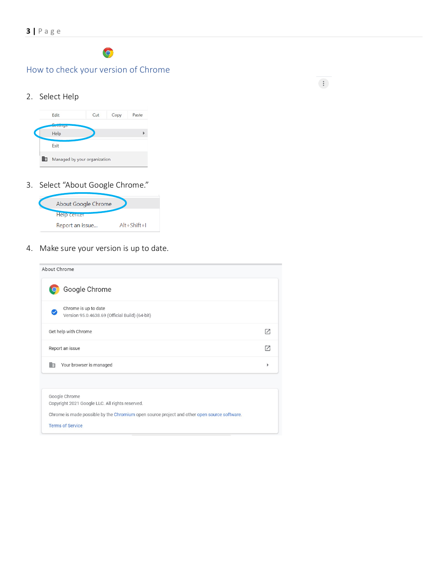# $\bullet$

# <span id="page-3-1"></span><span id="page-3-0"></span>How to check your version of Chrome

 $\frac{1}{2}$ 

### 2. Select Help



### 3. Select "About Google Chrome."

| About Google Chrome |                   |
|---------------------|-------------------|
| Help center         |                   |
| Report an issue     | $Alt + Shift + I$ |

# 4. Make sure your version is up to date.

| About Chrome                                                                                                                                                                               |    |
|--------------------------------------------------------------------------------------------------------------------------------------------------------------------------------------------|----|
| Google Chrome                                                                                                                                                                              |    |
| Chrome is up to date<br>Version 95.0.4638.69 (Official Build) (64-bit)                                                                                                                     |    |
| Get help with Chrome                                                                                                                                                                       | Г7 |
| Report an issue                                                                                                                                                                            | г4 |
| Your browser is managed<br>助                                                                                                                                                               |    |
|                                                                                                                                                                                            |    |
| Google Chrome<br>Copyright 2021 Google LLC. All rights reserved.<br>Chrome is made possible by the Chromium open source project and other open source software.<br><b>Terms of Service</b> |    |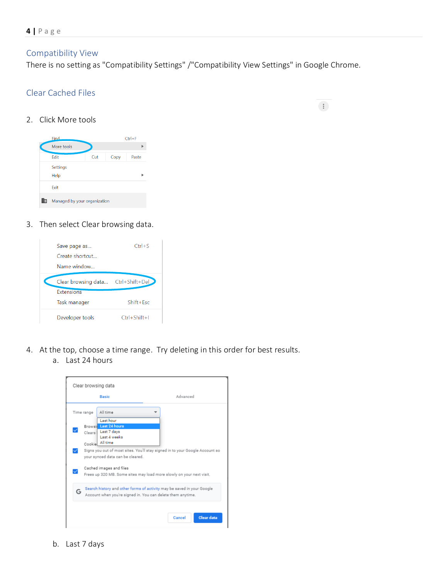# <span id="page-4-0"></span>Compatibility View

There is no setting as "Compatibility Settings" /"Compatibility View Settings" in Google Chrome.

 $\left\langle \frac{1}{2} \right\rangle$ 

# <span id="page-4-1"></span>Clear Cached Files

2. Click More tools

| Find                         |     |      | $Ctrl + F$ |
|------------------------------|-----|------|------------|
| More tools                   |     |      |            |
| Fdit                         | Cut | Copy | Paste      |
| Settings<br>Help             |     |      |            |
| Exit                         |     |      |            |
| Managed by your organization |     |      |            |

3. Then select Clear browsing data.



- 4. At the top, choose a time range. Try deleting in this order for best results.
	- a. Last 24 hours

|   |                  | <b>Basic</b>                                                                         | Advanced                                                                     |
|---|------------------|--------------------------------------------------------------------------------------|------------------------------------------------------------------------------|
|   | Time range       | All time                                                                             |                                                                              |
|   | Clears<br>Cookie | Last hour<br><b>Browsit</b> Last 24 hours<br>Last 7 days<br>Last 4 weeks<br>All time |                                                                              |
|   |                  | your synced data can be cleared.                                                     | Signs you out of most sites. You'll stay signed in to your Google Account so |
|   |                  | Cached images and files                                                              | Frees up 320 MB. Some sites may load more slowly on your next visit.         |
| G |                  | Account when you're signed in. You can delete them anytime.                          | Search history and other forms of activity may be saved in your Google       |
|   |                  |                                                                                      |                                                                              |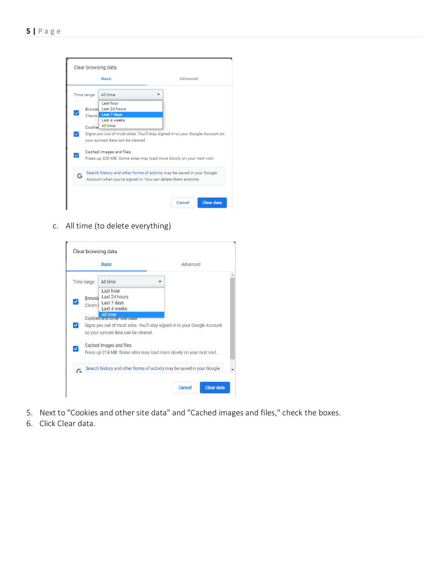|   |            | Clear browsing data                                                                                                                   |                                                                              |
|---|------------|---------------------------------------------------------------------------------------------------------------------------------------|------------------------------------------------------------------------------|
|   |            | <b>Basic</b>                                                                                                                          | Advanced                                                                     |
|   | Time range | All time                                                                                                                              |                                                                              |
|   | Clears I   | Last hour<br>Browsii Last 24 hours<br>Last 7 days<br>Last 4 weeks<br>Cookie All time                                                  |                                                                              |
|   |            | vour synced data can be cleared.                                                                                                      | Signs you out of most sites. You'll stay signed in to your Google Account so |
|   |            | Cached images and files<br>Frees up 320 MB. Some sites may load more slowly on your next visit.                                       |                                                                              |
| Ğ |            | Search history and other forms of activity may be saved in your Google<br>Account when you're signed in. You can delete them anytime. |                                                                              |
|   |            |                                                                                                                                       | <b>Clear data</b><br>Cancel                                                  |

c. All time (to delete everything)

|           |                     | Clear browsing data<br><b>Basic</b>                                            | Advanced                                                                  |
|-----------|---------------------|--------------------------------------------------------------------------------|---------------------------------------------------------------------------|
|           | Time range          | All time                                                                       |                                                                           |
|           | Clears <sup>I</sup> | Last hour<br>Browsir Last 24 hours<br>Last 7 days<br>Last 4 weeks              |                                                                           |
| ✓         |                     | ΔII time<br>Cookies and other site data<br>so your synced data can be cleared. | Signs you out of most sites. You'll stay signed in to your Google Account |
|           |                     | Cached images and files                                                        | Frees up 214 MB. Some sites may load more slowly on your next visit.      |
| $\subset$ |                     |                                                                                | Search history and other forms of activity may be saved in your Google    |
|           |                     |                                                                                | <b>Clear data</b><br><b>Cancel</b>                                        |

- 5. Next to "Cookies and other site data" and "Cached images and files," check the boxes.
- 6. Click Clear data.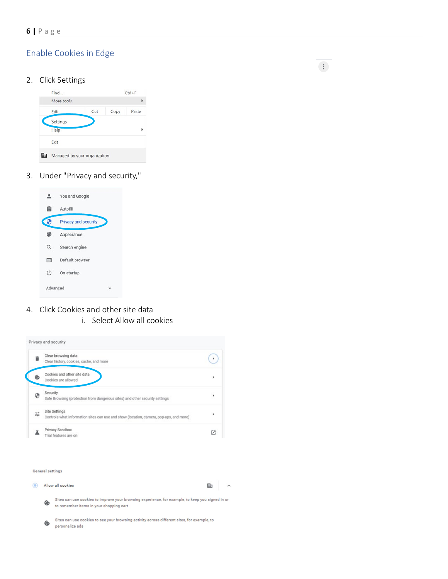# <span id="page-6-0"></span>Enable Cookies in Edge

### 2. Click Settings



3. Under "Privacy and security,"



- 4. Click Cookies and other site data
	- i. Select Allow all cookies



#### General settings

|   | Allow all cookies                                                                                                                           | 冊 | ᄉ |
|---|---------------------------------------------------------------------------------------------------------------------------------------------|---|---|
| ⊛ | Sites can use cookies to improve your browsing experience, for example, to keep you signed in or<br>to remember items in your shopping cart |   |   |
| ⊛ | Sites can use cookies to see your browsing activity across different sites, for example, to<br>personalize ads                              |   |   |

 $\frac{1}{2}$  .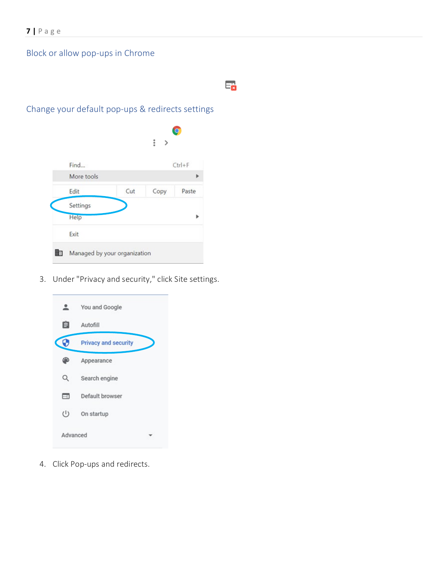# <span id="page-7-0"></span>Block or allow pop-ups in Chrome

# Ex

# <span id="page-7-1"></span>Change your default pop-ups & redirects settings

|   |                              |     | i<br>⋋ |            |
|---|------------------------------|-----|--------|------------|
|   | Find                         |     |        | $Ctrl + F$ |
|   | More tools                   |     |        |            |
|   | Edit                         | Cut | Copy   | Paste      |
|   | Settings                     |     |        |            |
|   | Help                         |     |        |            |
|   | Exit                         |     |        |            |
| ▦ | Managed by your organization |     |        |            |

3. Under "Privacy and security," click Site settings.



4. Click Pop-ups and redirects.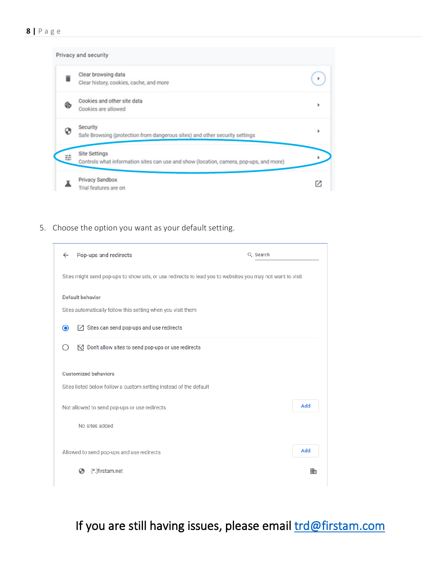|   | Privacy and security                                                                                    |   |
|---|---------------------------------------------------------------------------------------------------------|---|
|   | Clear browsing data<br>Clear history, cookies, cache, and more                                          |   |
| ゐ | Cookies and other site data<br>Cookies are allowed                                                      |   |
|   | Security<br>Safe Browsing (protection from dangerous sites) and other security settings                 | ٠ |
| 驻 | Site Settings<br>Controls what information sites can use and show (location, camera, pop-ups, and more) |   |
|   | Privacy Sandbox<br>Trial features are on                                                                |   |

5. Choose the option you want as your default setting.

| $\leftarrow$ | Pop-ups and redirects                                                                                    | Q Search |     |  |  |
|--------------|----------------------------------------------------------------------------------------------------------|----------|-----|--|--|
|              | Sites might send pop-ups to show ads, or use redirects to lead you to websites you may not want to visit |          |     |  |  |
|              | Default behavior                                                                                         |          |     |  |  |
|              | Sites automatically follow this setting when you visit them                                              |          |     |  |  |
| ◉            | $[7]$ Sites can send pop-ups and use redirects                                                           |          |     |  |  |
|              | $\mathbb{N}^n$ Don't allow sites to send pop-ups or use redirects                                        |          |     |  |  |
|              | <b>Customized behaviors</b><br>Sites listed below follow a custom setting instead of the default         |          |     |  |  |
|              | Not allowed to send pop-ups or use redirects                                                             |          | Add |  |  |
|              | No sites added                                                                                           |          |     |  |  |
|              | Allowed to send pop-ups and use redirects                                                                |          | Add |  |  |
|              | [*.]firstam.net<br>ශ                                                                                     |          | 冊   |  |  |

If you are still having issues, please email trd@firstam.com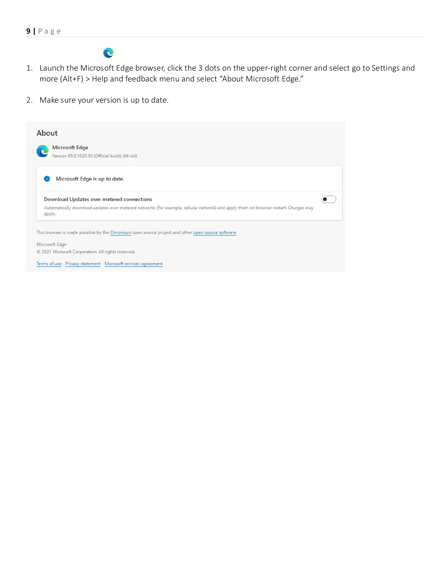

- <span id="page-9-0"></span>1. Launch the Microsoft Edge browser, click the 3 dots on the upper-right corner and select go to Settings and more (Alt+F) > Help and feedback menu and select "About Microsoft Edge."
- 2. Make sure your version is up to date.

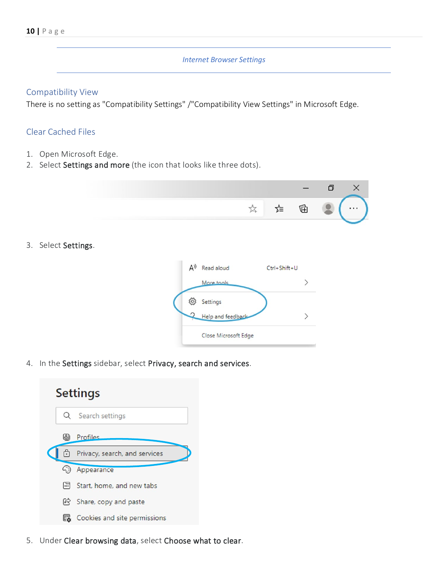### *Internet Browser Settings*

### <span id="page-10-0"></span>Compatibility View

There is no setting as "Compatibility Settings" /"Compatibility View Settings" in Microsoft Edge.

# <span id="page-10-1"></span>Clear Cached Files

- 1. Open Microsoft Edge.
- 2. Select Settings and more (the icon that looks like three dots).

| วั≡ | (中 |  |
|-----|----|--|
|     |    |  |

3. Select Settings.



4. In the Settings sidebar, select Privacy, search and services.



5. Under Clear browsing data, select Choose what to clear.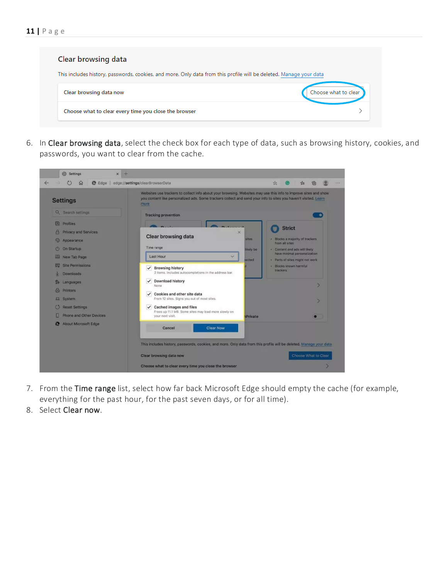| Clear browsing data                                                                                                |                      |
|--------------------------------------------------------------------------------------------------------------------|----------------------|
| This includes history, passwords, cookies, and more. Only data from this profile will be deleted. Manage your data |                      |
| Clear browsing data now                                                                                            | Choose what to clear |
| Choose what to clear every time you close the browser                                                              |                      |

6. In Clear browsing data, select the check box for each type of data, such as browsing history, cookies, and passwords, you want to clear from the cache.

| <b>Settings</b>                                                         | Websites use trackers to collect info about your browsing. Websites may use this info to improve sites and show<br>you content like personalized ads. Some trackers collect and send your info to sites you haven't visited. Learn<br>more |                                                                       |
|-------------------------------------------------------------------------|--------------------------------------------------------------------------------------------------------------------------------------------------------------------------------------------------------------------------------------------|-----------------------------------------------------------------------|
| Q Search settings                                                       | <b>Tracking prevention</b>                                                                                                                                                                                                                 | $\bullet$                                                             |
| 同<br><b>Profiles</b>                                                    |                                                                                                                                                                                                                                            |                                                                       |
| <b>Privacy and Services</b><br>☜<br>Appearance<br>On Startup<br>$\circ$ | $\times$<br><b>Clear browsing data</b><br>sites.<br>Time range                                                                                                                                                                             | <b>Strict</b><br>· Blocks a majority of trackers<br>from all sites    |
| New Tab Page                                                            | <b>Skely be</b><br><b>Last Hour</b>                                                                                                                                                                                                        | - Content and ads will likely<br>have minimal personalization         |
| <b>Site Permissions</b><br>示<br>Downloads                               | ected<br>$\checkmark$ Browsing history<br>2 items. Includes autocompletions in the address bar.                                                                                                                                            | · Parts of sites might not work<br>· Blocks known harmful<br>trackers |
| Languages<br>品<br><b>Printers</b><br><b>吕</b> System                    | Download history<br>$\checkmark$<br>None<br>Cookies and other site data<br>$\checkmark$<br>From 12 sites. Signs you out of most sites.                                                                                                     |                                                                       |
| <b>Reset Settings</b>                                                   | Cached images and files<br>$\checkmark$<br>Frees up 11.1 MB. Some sites may load more slowly on                                                                                                                                            |                                                                       |
| Phone and Other Devices                                                 | your next visit.<br><b>Private</b>                                                                                                                                                                                                         |                                                                       |
| About Microsoft Edge<br>æ                                               | <b>Clear Now</b><br>Cancel                                                                                                                                                                                                                 |                                                                       |
|                                                                         | This includes history, passwords, cookies, and more. Only data from this profile will be deleted. Manage your data                                                                                                                         |                                                                       |

- 7. From the Time range list, select how far back Microsoft Edge should empty the cache (for example, everything for the past hour, for the past seven days, or for all time).
- 8. Select Clear now.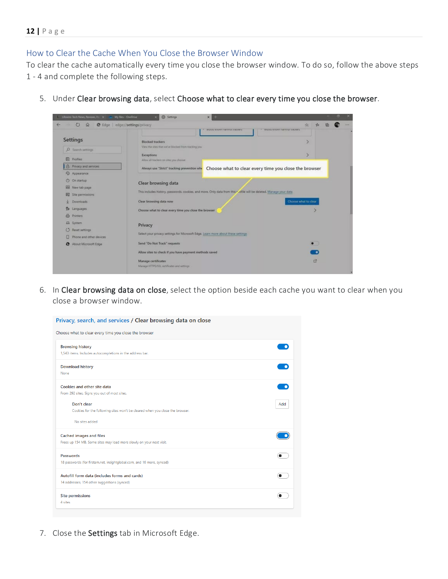# <span id="page-12-0"></span>How to Clear the Cache When You Close the Browser Window

To clear the cache automatically every time you close the browser window. To do so, follow the above steps 1 - 4 and complete the following steps.

| $\circ$<br>$\Omega$                  | @ Edge edge://settings/privacy<br><b>BIDEKS KOOWIT THEITHUL UWEKETS</b>                                             | ☆<br>×.<br>DIUCKS KIRJAYII NATIONIU MACKETS           |  |
|--------------------------------------|---------------------------------------------------------------------------------------------------------------------|-------------------------------------------------------|--|
| <b>Settings</b>                      | <b>Blocked trackers</b>                                                                                             |                                                       |  |
| $O$ Search settings                  | View the sites that we've blocked from tracking you                                                                 |                                                       |  |
| <b>A</b> Profiles                    | <b>Exceptions</b><br>Allow all trackers on sites you choose                                                         |                                                       |  |
| A Privacy and services               | Always use "Strict" tracking prevention who                                                                         | Choose what to clear every time you close the browser |  |
| <b>S</b> Appearance                  |                                                                                                                     |                                                       |  |
| $\circ$<br>On startup                | Clear browsing data                                                                                                 |                                                       |  |
| New tab page                         |                                                                                                                     |                                                       |  |
| 愿<br>Site permissions                | This includes history, passwords, cookies, and more. Only data from this r, ofile will be deleted. Manage your data |                                                       |  |
| Downloads                            | Clear browsing data now                                                                                             | Choose what to clear                                  |  |
| <b>Re</b> Languages                  | Choose what to clear every time you close the browser                                                               |                                                       |  |
| <b>ed</b> Printers                   |                                                                                                                     |                                                       |  |
| <b>吕</b> System                      | Privacy                                                                                                             |                                                       |  |
| $\circ$<br>Reset settings            |                                                                                                                     |                                                       |  |
| Π<br>Phone and other devices         | Select your privacy settings for Microsoft Edge. Learn more about these settings                                    |                                                       |  |
| About Microsoft Edge<br>$\mathbf{c}$ | Send "Do Not Track" requests                                                                                        | $\bullet$                                             |  |
|                                      | Allow sites to check if you have payment methods saved                                                              |                                                       |  |
|                                      | Manage certificates                                                                                                 | 17                                                    |  |
|                                      | Manage HTTPS/SSL certificates and settings                                                                          |                                                       |  |

5. Under Clear browsing data, select Choose what to clear every time you close the browser.

6. In Clear browsing data on close, select the option beside each cache you want to clear when you close a browser window.

| Privacy, search, and services / Clear browsing data on close                                           |     |
|--------------------------------------------------------------------------------------------------------|-----|
| Choose what to clear every time you close the browser                                                  |     |
| <b>Browsing history</b><br>1,543 items. Includes autocompletions in the address bar.                   |     |
| <b>Download history</b><br>None                                                                        |     |
| Cookies and other site data<br>From 292 sites. Signs you out of most sites.                            |     |
| Don't clear<br>Cookies for the following sites won't be cleared when you close the browser.            | Add |
| No sites added                                                                                         |     |
| <b>Cached images and files</b><br>Frees up 154 MB. Some sites may load more slowly on your next visit. |     |
| <b>Passwords</b><br>18 passwords (for firstam.net, insightglobal.com, and 16 more, synced)             |     |
| Autofill form data (includes forms and cards)<br>14 addresses, 154 other suggestions (synced)          |     |
| <b>Site permissions</b><br>4 sites                                                                     |     |
|                                                                                                        |     |

7. Close the Settings tab in Microsoft Edge.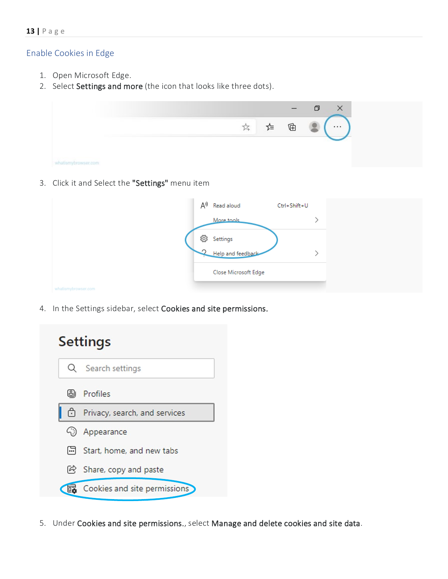### <span id="page-13-0"></span>Enable Cookies in Edge

- 1. Open Microsoft Edge.
- 2. Select Settings and more (the icon that looks like three dots).



3. Click it and Select the "Settings" menu item

|                    | A <sup>y</sup> | Read aloud           | Ctrl+Shift+U |  |
|--------------------|----------------|----------------------|--------------|--|
|                    |                | More tools           |              |  |
|                    | బ్ర            | Settings             |              |  |
|                    |                | Help and feedback    |              |  |
|                    |                | Close Microsoft Edge |              |  |
| hatismybrowser.com |                |                      |              |  |

4. In the Settings sidebar, select Cookies and site permissions.



5. Under Cookies and site permissions., select Manage and delete cookies and site data.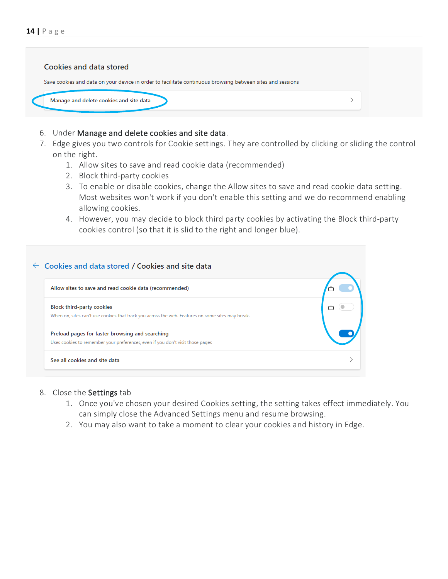

- 6. Under Manage and delete cookies and site data.
- 7. Edge gives you two controls for Cookie settings. They are controlled by clicking or sliding the control on the right.
	- 1. Allow sites to save and read cookie data (recommended)
	- 2. Block third-party cookies
	- 3. To enable or disable cookies, change the Allow sites to save and read cookie data setting. Most websites won't work if you don't enable this setting and we do recommend enabling allowing cookies.
	- 4. However, you may decide to block third party cookies by activating the Block third-party cookies control (so that it is slid to the right and longer blue).

| $\leftarrow$ Cookies and data stored / Cookies and site data                                                                          |  |
|---------------------------------------------------------------------------------------------------------------------------------------|--|
| Allow sites to save and read cookie data (recommended)                                                                                |  |
| <b>Block third-party cookies</b><br>When on, sites can't use cookies that track you across the web. Features on some sites may break. |  |
| Preload pages for faster browsing and searching<br>Uses cookies to remember your preferences, even if you don't visit those pages     |  |
| See all cookies and site data                                                                                                         |  |

### 8. Close the Settings tab

- 1. Once you've chosen your desired Cookies setting, the setting takes effect immediately. You can simply close the Advanced Settings menu and resume browsing.
- 2. You may also want to take a moment to [clear your cookies and history in Edge.](https://www.whatismybrowser.com/guides/how-to-clear-cookies-browsing-history-and-cache/edge)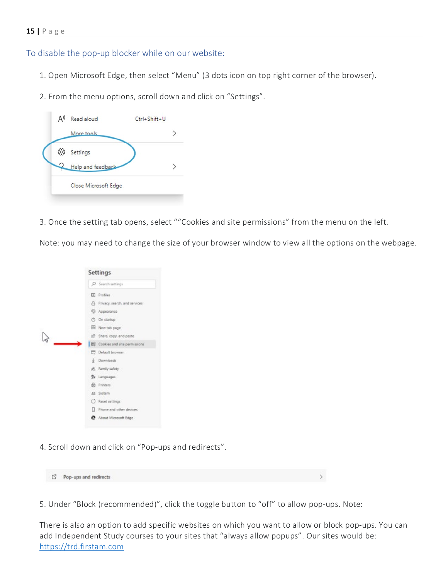### <span id="page-15-0"></span>To disable the pop-up blocker while on our website:

- 1. Open Microsoft Edge, then select "Menu" (3 dots icon on top right corner of the browser).
- 2. From the menu options, scroll down and click on "Settings".



3. Once the setting tab opens, select ""Cookies and site permissions" from the menu on the left.

Note: you may need to change the size of your browser window to view all the options on the webpage.



4. Scroll down and click on "Pop-ups and redirects".

Pop-ups and redirects

5. Under "Block (recommended)", click the toggle button to "off" to allow pop-ups. Note:

There is also an option to add specific websites on which you want to allow or block pop-ups. You can add Independent Study courses to your sites that "always allow popups". Our sites would be: [https://trd.firstam.com](https://trd.firstam.com/)